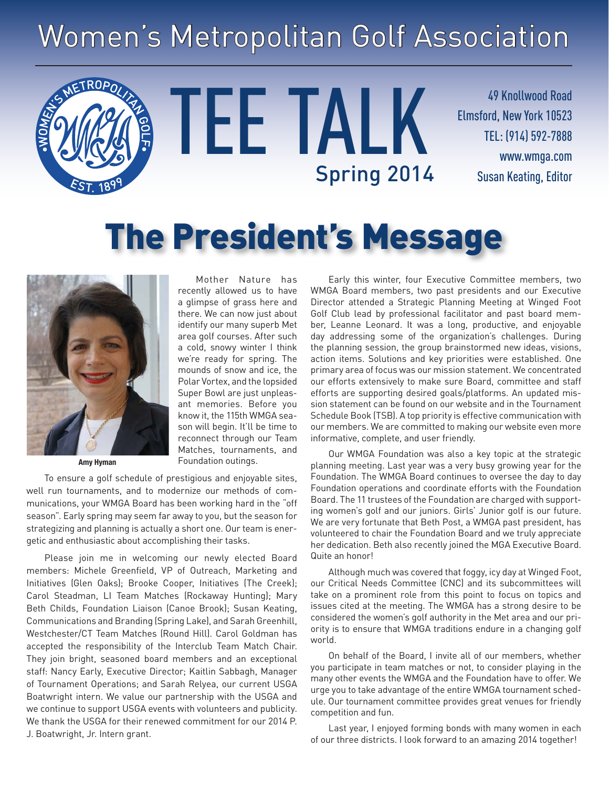# Women's Metropolitan Golf Association

TEE TALK

49 Knollwood Road Elmsford, New York 10523 TEL: (914) 592-7888 www.wmga.com Spring 2014 Susan Keating, Editor

# The President's Message



**ROPO** 

**Amy Hyman**

To ensure a golf schedule of prestigious and enjoyable sites, well run tournaments, and to modernize our methods of communications, your WMGA Board has been working hard in the "off season". Early spring may seem far away to you, but the season for strategizing and planning is actually a short one. Our team is energetic and enthusiastic about accomplishing their tasks.

Please join me in welcoming our newly elected Board members: Michele Greenfield, VP of Outreach, Marketing and Initiatives (Glen Oaks); Brooke Cooper, Initiatives (The Creek); Carol Steadman, LI Team Matches (Rockaway Hunting); Mary Beth Childs, Foundation Liaison (Canoe Brook); Susan Keating, Communications and Branding (Spring Lake), and Sarah Greenhill, Westchester/CT Team Matches (Round Hill). Carol Goldman has accepted the responsibility of the Interclub Team Match Chair. They join bright, seasoned board members and an exceptional staff: Nancy Early, Executive Director; Kaitlin Sabbagh, Manager of Tournament Operations; and Sarah Relyea, our current USGA Boatwright intern. We value our partnership with the USGA and we continue to support USGA events with volunteers and publicity. We thank the USGA for their renewed commitment for our 2014 P. J. Boatwright, Jr. Intern grant.

Mother Nature has recently allowed us to have a glimpse of grass here and there. We can now just about identify our many superb Met area golf courses. After such a cold, snowy winter I think we're ready for spring. The mounds of snow and ice, the Polar Vortex, and the lopsided Super Bowl are just unpleasant memories. Before you know it, the 115th WMGA season will begin. It'll be time to reconnect through our Team Matches, tournaments, and Foundation outings.

Early this winter, four Executive Committee members, two WMGA Board members, two past presidents and our Executive Director attended a Strategic Planning Meeting at Winged Foot Golf Club lead by professional facilitator and past board member, Leanne Leonard. It was a long, productive, and enjoyable day addressing some of the organization's challenges. During the planning session, the group brainstormed new ideas, visions, action items. Solutions and key priorities were established. One primary area of focus was our mission statement. We concentrated our efforts extensively to make sure Board, committee and staff efforts are supporting desired goals/platforms. An updated mission statement can be found on our website and in the Tournament Schedule Book (TSB). A top priority is effective communication with our members. We are committed to making our website even more informative, complete, and user friendly.

Our WMGA Foundation was also a key topic at the strategic planning meeting. Last year was a very busy growing year for the Foundation. The WMGA Board continues to oversee the day to day Foundation operations and coordinate efforts with the Foundation Board. The 11 trustees of the Foundation are charged with supporting women's golf and our juniors. Girls' Junior golf is our future. We are very fortunate that Beth Post, a WMGA past president, has volunteered to chair the Foundation Board and we truly appreciate her dedication. Beth also recently joined the MGA Executive Board. Quite an honor!

Although much was covered that foggy, icy day at Winged Foot, our Critical Needs Committee (CNC) and its subcommittees will take on a prominent role from this point to focus on topics and issues cited at the meeting. The WMGA has a strong desire to be considered the women's golf authority in the Met area and our priority is to ensure that WMGA traditions endure in a changing golf world.

On behalf of the Board, I invite all of our members, whether you participate in team matches or not, to consider playing in the many other events the WMGA and the Foundation have to offer. We urge you to take advantage of the entire WMGA tournament schedule. Our tournament committee provides great venues for friendly competition and fun.

Last year, I enjoyed forming bonds with many women in each of our three districts. I look forward to an amazing 2014 together!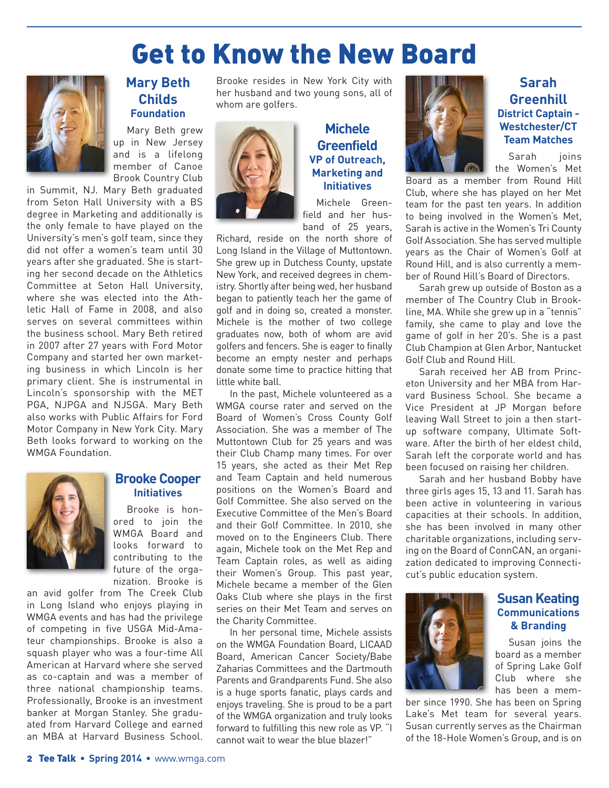# Get to Know the New Board



### **Mary Beth Childs Foundation**

Mary Beth grew up in New Jersey and is a lifelong member of Canoe Brook Country Club

in Summit, NJ. Mary Beth graduated from Seton Hall University with a BS degree in Marketing and additionally is the only female to have played on the University's men's golf team, since they did not offer a women's team until 30 years after she graduated. She is starting her second decade on the Athletics Committee at Seton Hall University, where she was elected into the Athletic Hall of Fame in 2008, and also serves on several committees within the business school. Mary Beth retired in 2007 after 27 years with Ford Motor Company and started her own marketing business in which Lincoln is her primary client. She is instrumental in Lincoln's sponsorship with the MET PGA, NJPGA and NJSGA. Mary Beth also works with Public Affairs for Ford Motor Company in New York City. Mary Beth looks forward to working on the WMGA Foundation.



#### **Brooke Cooper Initiatives**

Brooke is honored to join the WMGA Board and looks forward to contributing to the future of the organization. Brooke is

an avid golfer from The Creek Club in Long Island who enjoys playing in WMGA events and has had the privilege of competing in five USGA Mid-Amateur championships. Brooke is also a squash player who was a four-time All American at Harvard where she served as co-captain and was a member of three national championship teams. Professionally, Brooke is an investment banker at Morgan Stanley. She graduated from Harvard College and earned an MBA at Harvard Business School.

Brooke resides in New York City with her husband and two young sons, all of whom are golfers.



### **Michele Greenfield VP of Outreach, Marketing and Initiatives**

Michele Greenfield and her husband of 25 years,

Richard, reside on the north shore of Long Island in the Village of Muttontown. She grew up in Dutchess County, upstate New York, and received degrees in chemistry. Shortly after being wed, her husband began to patiently teach her the game of golf and in doing so, created a monster. Michele is the mother of two college graduates now, both of whom are avid golfers and fencers. She is eager to finally become an empty nester and perhaps donate some time to practice hitting that little white ball.

In the past, Michele volunteered as a WMGA course rater and served on the Board of Women's Cross County Golf Association. She was a member of The Muttontown Club for 25 years and was their Club Champ many times. For over 15 years, she acted as their Met Rep and Team Captain and held numerous positions on the Women's Board and Golf Committee. She also served on the Executive Committee of the Men's Board and their Golf Committee. In 2010, she moved on to the Engineers Club. There again, Michele took on the Met Rep and Team Captain roles, as well as aiding their Women's Group. This past year, Michele became a member of the Glen Oaks Club where she plays in the first series on their Met Team and serves on the Charity Committee.

In her personal time, Michele assists on the WMGA Foundation Board, LICAAD Board, American Cancer Society/Babe Zaharias Committees and the Dartmouth Parents and Grandparents Fund. She also is a huge sports fanatic, plays cards and enjoys traveling. She is proud to be a part of the WMGA organization and truly looks forward to fulfilling this new role as VP. "I cannot wait to wear the blue blazer!"



**Sarah Greenhill District Captain - Westchester/CT Team Matches**

Sarah joins the Women's Met

Board as a member from Round Hill Club, where she has played on her Met team for the past ten years. In addition to being involved in the Women's Met, Sarah is active in the Women's Tri County Golf Association. She has served multiple years as the Chair of Women's Golf at Round Hill, and is also currently a member of Round Hill's Board of Directors.

Sarah grew up outside of Boston as a member of The Country Club in Brookline, MA. While she grew up in a "tennis" family, she came to play and love the game of golf in her 20's. She is a past Club Champion at Glen Arbor, Nantucket Golf Club and Round Hill.

Sarah received her AB from Princeton University and her MBA from Harvard Business School. She became a Vice President at JP Morgan before leaving Wall Street to join a then startup software company, Ultimate Software. After the birth of her eldest child, Sarah left the corporate world and has been focused on raising her children.

Sarah and her husband Bobby have three girls ages 15, 13 and 11. Sarah has been active in volunteering in various capacities at their schools. In addition, she has been involved in many other charitable organizations, including serving on the Board of ConnCAN, an organization dedicated to improving Connecticut's public education system.



#### **Susan Keating Communications & Branding**

Susan joins the board as a member of Spring Lake Golf Club where she has been a mem-

ber since 1990. She has been on Spring Lake's Met team for several years. Susan currently serves as the Chairman of the 18-Hole Women's Group, and is on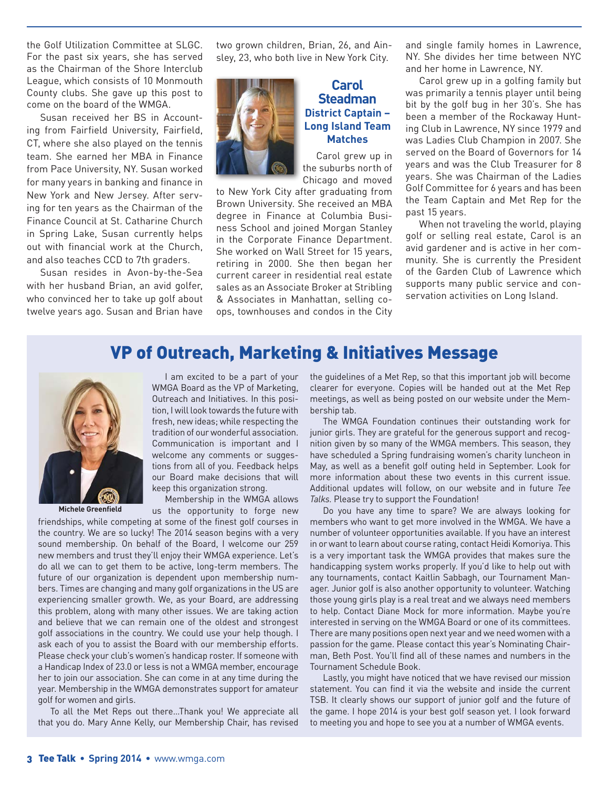the Golf Utilization Committee at SLGC. For the past six years, she has served as the Chairman of the Shore Interclub League, which consists of 10 Monmouth County clubs. She gave up this post to come on the board of the WMGA.

Susan received her BS in Accounting from Fairfield University, Fairfield, CT, where she also played on the tennis team. She earned her MBA in Finance from Pace University, NY. Susan worked for many years in banking and finance in New York and New Jersey. After serving for ten years as the Chairman of the Finance Council at St. Catharine Church in Spring Lake, Susan currently helps out with financial work at the Church, and also teaches CCD to 7th graders.

Susan resides in Avon-by-the-Sea with her husband Brian, an avid golfer, who convinced her to take up golf about twelve years ago. Susan and Brian have

two grown children, Brian, 26, and Ainsley, 23, who both live in New York City.



#### **Carol Steadman District Captain – Long Island Team Matches**

Carol grew up in the suburbs north of Chicago and moved

to New York City after graduating from Brown University. She received an MBA degree in Finance at Columbia Business School and joined Morgan Stanley in the Corporate Finance Department. She worked on Wall Street for 15 years, retiring in 2000. She then began her current career in residential real estate sales as an Associate Broker at Stribling & Associates in Manhattan, selling coops, townhouses and condos in the City and single family homes in Lawrence, NY. She divides her time between NYC and her home in Lawrence, NY.

Carol grew up in a golfing family but was primarily a tennis player until being bit by the golf bug in her 30's. She has been a member of the Rockaway Hunting Club in Lawrence, NY since 1979 and was Ladies Club Champion in 2007. She served on the Board of Governors for 14 years and was the Club Treasurer for 8 years. She was Chairman of the Ladies Golf Committee for 6 years and has been the Team Captain and Met Rep for the past 15 years.

When not traveling the world, playing golf or selling real estate, Carol is an avid gardener and is active in her community. She is currently the President of the Garden Club of Lawrence which supports many public service and conservation activities on Long Island.

### VP of Outreach, Marketing & Initiatives Message



**Michele Greenfield**

I am excited to be a part of your WMGA Board as the VP of Marketing, Outreach and Initiatives. In this position, I will look towards the future with fresh, new ideas; while respecting the tradition of our wonderful association. Communication is important and I welcome any comments or suggestions from all of you. Feedback helps our Board make decisions that will keep this organization strong.

Membership in the WMGA allows us the opportunity to forge new

friendships, while competing at some of the finest golf courses in

the country. We are so lucky! The 2014 season begins with a very sound membership. On behalf of the Board, I welcome our 259 new members and trust they'll enjoy their WMGA experience. Let's do all we can to get them to be active, long-term members. The future of our organization is dependent upon membership numbers. Times are changing and many golf organizations in the US are experiencing smaller growth. We, as your Board, are addressing this problem, along with many other issues. We are taking action and believe that we can remain one of the oldest and strongest golf associations in the country. We could use your help though. I ask each of you to assist the Board with our membership efforts. Please check your club's women's handicap roster. If someone with a Handicap Index of 23.0 or less is not a WMGA member, encourage her to join our association. She can come in at any time during the year. Membership in the WMGA demonstrates support for amateur golf for women and girls.

To all the Met Reps out there…Thank you! We appreciate all that you do. Mary Anne Kelly, our Membership Chair, has revised

the guidelines of a Met Rep, so that this important job will become clearer for everyone. Copies will be handed out at the Met Rep meetings, as well as being posted on our website under the Membership tab.

The WMGA Foundation continues their outstanding work for junior girls. They are grateful for the generous support and recognition given by so many of the WMGA members. This season, they have scheduled a Spring fundraising women's charity luncheon in May, as well as a benefit golf outing held in September. Look for more information about these two events in this current issue. Additional updates will follow, on our website and in future *Tee Talks.* Please try to support the Foundation!

Do you have any time to spare? We are always looking for members who want to get more involved in the WMGA. We have a number of volunteer opportunities available. If you have an interest in or want to learn about course rating, contact Heidi Komoriya. This is a very important task the WMGA provides that makes sure the handicapping system works properly. If you'd like to help out with any tournaments, contact Kaitlin Sabbagh, our Tournament Manager. Junior golf is also another opportunity to volunteer. Watching those young girls play is a real treat and we always need members to help. Contact Diane Mock for more information. Maybe you're interested in serving on the WMGA Board or one of its committees. There are many positions open next year and we need women with a passion for the game. Please contact this year's Nominating Chairman, Beth Post. You'll find all of these names and numbers in the Tournament Schedule Book.

Lastly, you might have noticed that we have revised our mission statement. You can find it via the website and inside the current TSB. It clearly shows our support of junior golf and the future of the game. I hope 2014 is your best golf season yet. I look forward to meeting you and hope to see you at a number of WMGA events.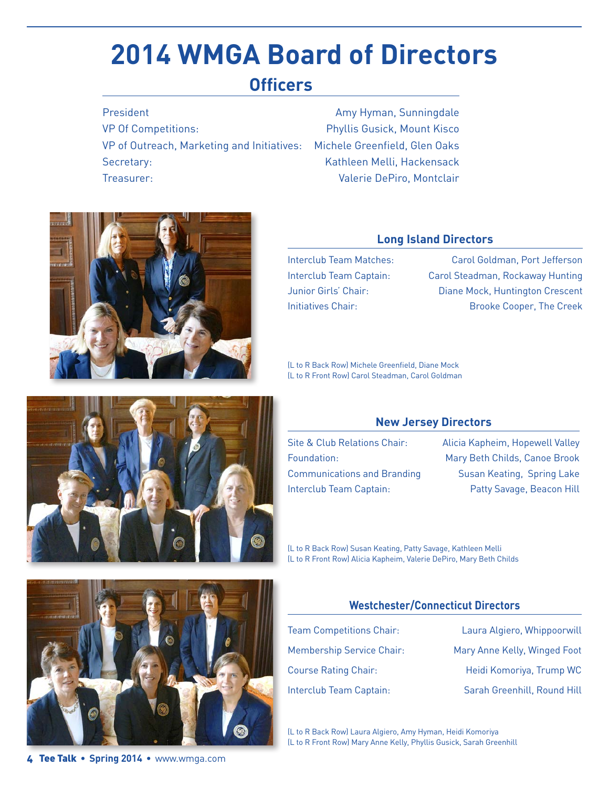# **2014 WMGA Board of Directors**

## **Officers**

President **Amy Hyman, Sunningdale** VP Of Competitions: Phyllis Gusick, Mount Kisco VP of Outreach, Marketing and Initiatives: Michele Greenfield, Glen Oaks Secretary: Secretary: Secretary: Entry and Mathleen Melli, Hackensack Treasurer: Valerie DePiro, Montclair



#### **Long Island Directors**

Interclub Team Matches: Carol Goldman, Port Jefferson Interclub Team Captain: Carol Steadman, Rockaway Hunting Junior Girls' Chair: Diane Mock, Huntington Crescent Initiatives Chair: Sales Cooper, The Creek

(L to R Back Row) Michele Greenfield, Diane Mock (L to R Front Row) Carol Steadman, Carol Goldman



Site & Club Relations Chair: Alicia Kapheim, Hopewell Valley Foundation: Mary Beth Childs, Canoe Brook Communications and Branding Susan Keating, Spring Lake Interclub Team Captain: Patty Savage, Beacon Hill

(L to R Back Row) Susan Keating, Patty Savage, Kathleen Melli (L to R Front Row) Alicia Kapheim, Valerie DePiro, Mary Beth Childs

#### **Westchester/Connecticut Directors**

Team Competitions Chair: Laura Algiero, Whippoorwill Membership Service Chair: Mary Anne Kelly, Winged Foot Course Rating Chair: Heidi Komoriya, Trump WC Interclub Team Captain: Sarah Greenhill, Round Hill

(L to R Back Row) Laura Algiero, Amy Hyman, Heidi Komoriya (L to R Front Row) Mary Anne Kelly, Phyllis Gusick, Sarah Greenhill





4 Tee Talk • **Spring 2014** • www.wmga.com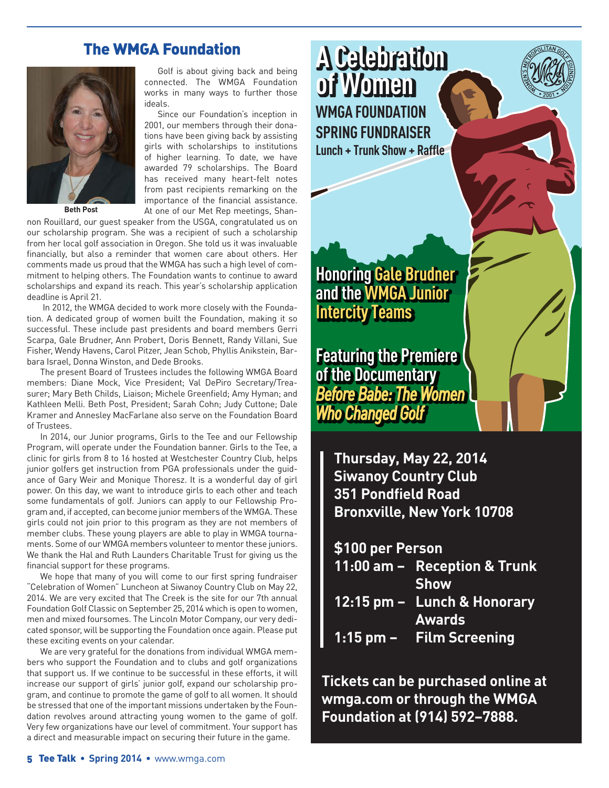### The WMGA Foundation



**Beth Post**

Golf is about giving back and being connected. The WMGA Foundation works in many ways to further those ideals.

Since our Foundation's inception in 2001, our members through their donations have been giving back by assisting girls with scholarships to institutions of higher learning. To date, we have awarded 79 scholarships. The Board has received many heart-felt notes from past recipients remarking on the importance of the financial assistance. At one of our Met Rep meetings, Shan-

non Rouillard, our guest speaker from the USGA, congratulated us on our scholarship program. She was a recipient of such a scholarship from her local golf association in Oregon. She told us it was invaluable financially, but also a reminder that women care about others. Her comments made us proud that the WMGA has such a high level of commitment to helping others. The Foundation wants to continue to award scholarships and expand its reach. This year's scholarship application deadline is April 21.

 In 2012, the WMGA decided to work more closely with the Foundation. A dedicated group of women built the Foundation, making it so successful. These include past presidents and board members Gerri Scarpa, Gale Brudner, Ann Probert, Doris Bennett, Randy Villani, Sue Fisher, Wendy Havens, Carol Pitzer, Jean Schob, Phyllis Anikstein, Barbara Israel, Donna Winston, and Dede Brooks.

The present Board of Trustees includes the following WMGA Board members: Diane Mock, Vice President; Val DePiro Secretary/Treasurer; Mary Beth Childs, Liaison; Michele Greenfield; Amy Hyman; and Kathleen Melli. Beth Post, President; Sarah Cohn; Judy Cuttone; Dale Kramer and Annesley MacFarlane also serve on the Foundation Board of Trustees.

In 2014, our Junior programs, Girls to the Tee and our Fellowship Program, will operate under the Foundation banner. Girls to the Tee, a clinic for girls from 8 to 16 hosted at Westchester Country Club, helps junior golfers get instruction from PGA professionals under the guidance of Gary Weir and Monique Thoresz. It is a wonderful day of girl power. On this day, we want to introduce girls to each other and teach some fundamentals of golf. Juniors can apply to our Fellowship Program and, if accepted, can become junior members of the WMGA. These girls could not join prior to this program as they are not members of member clubs. These young players are able to play in WMGA tournaments. Some of our WMGA members volunteer to mentor these juniors. We thank the Hal and Ruth Launders Charitable Trust for giving us the financial support for these programs.

We hope that many of you will come to our first spring fundraiser "Celebration of Women" Luncheon at Siwanoy Country Club on May 22, 2014. We are very excited that The Creek is the site for our 7th annual Foundation Golf Classic on September 25, 2014 which is open to women, men and mixed foursomes. The Lincoln Motor Company, our very dedicated sponsor, will be supporting the Foundation once again. Please put these exciting events on your calendar.

We are very grateful for the donations from individual WMGA members who support the Foundation and to clubs and golf organizations that support us. If we continue to be successful in these efforts, it will increase our support of girls' junior golf, expand our scholarship program, and continue to promote the game of golf to all women. It should be stressed that one of the important missions undertaken by the Foundation revolves around attracting young women to the game of golf. Very few organizations have our level of commitment. Your support has a direct and measurable impact on securing their future in the game.

**A Celebration of Women WMGA FOUNDATION SPRING FUNDRAISER Lunch + Trunk Show + Raffle**

**Honoring Gale Brudner and the WMGA Junior Intercity Teams**

**Featuring the Premiere of the Documentary** *Before Babe: The Women Who Changed Golf*

> **Thursday, May 22, 2014 Siwanoy Country Club 351 Pondfield Road Bronxville, New York 10708**

**\$100 per Person**

- **11:00 am – Reception & Trunk Show**
- **12:15 pm – Lunch & Honorary Awards**
- **1:15 pm – Film Screening**

**Tickets can be purchased online at wmga.com or through the WMGA Foundation at (914) 592–7888.**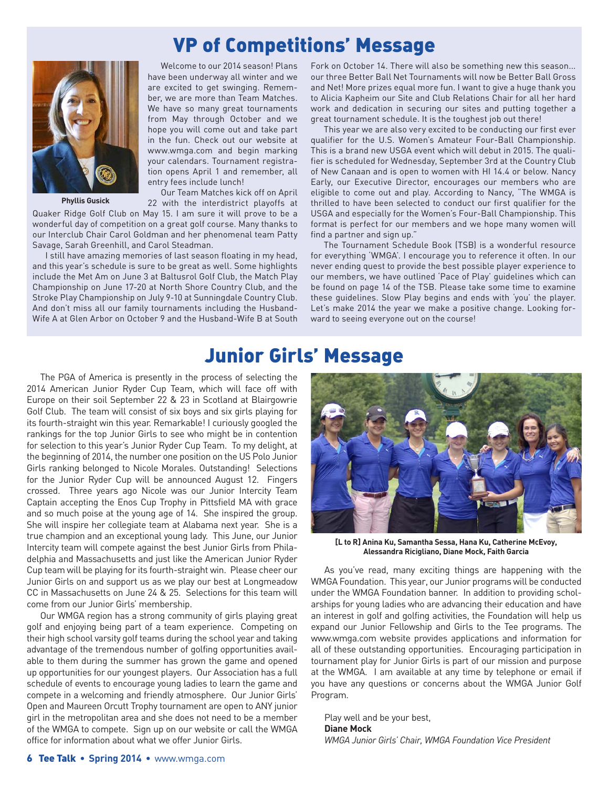## VP of Competitions' Message



**Phyllis Gusick**

Welcome to our 2014 season! Plans have been underway all winter and we are excited to get swinging. Remember, we are more than Team Matches. We have so many great tournaments from May through October and we hope you will come out and take part in the fun. Check out our website at www.wmga.com and begin marking your calendars. Tournament registration opens April 1 and remember, all entry fees include lunch!

Our Team Matches kick off on April 22 with the interdistrict playoffs at

Quaker Ridge Golf Club on May 15. I am sure it will prove to be a wonderful day of competition on a great golf course. Many thanks to our Interclub Chair Carol Goldman and her phenomenal team Patty Savage, Sarah Greenhill, and Carol Steadman.

I still have amazing memories of last season floating in my head, and this year's schedule is sure to be great as well. Some highlights include the Met Am on June 3 at Baltusrol Golf Club, the Match Play Championship on June 17-20 at North Shore Country Club, and the Stroke Play Championship on July 9-10 at Sunningdale Country Club. And don't miss all our family tournaments including the Husband-Wife A at Glen Arbor on October 9 and the Husband-Wife B at South

Fork on October 14. There will also be something new this season... our three Better Ball Net Tournaments will now be Better Ball Gross and Net! More prizes equal more fun. I want to give a huge thank you to Alicia Kapheim our Site and Club Relations Chair for all her hard work and dedication in securing our sites and putting together a great tournament schedule. It is the toughest job out there!

This year we are also very excited to be conducting our first ever qualifier for the U.S. Women's Amateur Four-Ball Championship. This is a brand new USGA event which will debut in 2015. The qualifier is scheduled for Wednesday, September 3rd at the Country Club of New Canaan and is open to women with HI 14.4 or below. Nancy Early, our Executive Director, encourages our members who are eligible to come out and play. According to Nancy, "The WMGA is thrilled to have been selected to conduct our first qualifier for the USGA and especially for the Women's Four-Ball Championship. This format is perfect for our members and we hope many women will find a partner and sign up."

The Tournament Schedule Book (TSB) is a wonderful resource for everything 'WMGA'. I encourage you to reference it often. In our never ending quest to provide the best possible player experience to our members, we have outlined 'Pace of Play' guidelines which can be found on page 14 of the TSB. Please take some time to examine these guidelines. Slow Play begins and ends with 'you' the player. Let's make 2014 the year we make a positive change. Looking forward to seeing everyone out on the course!

### Junior Girls' Message

The PGA of America is presently in the process of selecting the 2014 American Junior Ryder Cup Team, which will face off with Europe on their soil September 22 & 23 in Scotland at Blairgowrie Golf Club. The team will consist of six boys and six girls playing for its fourth-straight win this year. Remarkable! I curiously googled the rankings for the top Junior Girls to see who might be in contention for selection to this year's Junior Ryder Cup Team. To my delight, at the beginning of 2014, the number one position on the US Polo Junior Girls ranking belonged to Nicole Morales. Outstanding! Selections for the Junior Ryder Cup will be announced August 12. Fingers crossed. Three years ago Nicole was our Junior Intercity Team Captain accepting the Enos Cup Trophy in Pittsfield MA with grace and so much poise at the young age of 14. She inspired the group. She will inspire her collegiate team at Alabama next year. She is a true champion and an exceptional young lady. This June, our Junior Intercity team will compete against the best Junior Girls from Philadelphia and Massachusetts and just like the American Junior Ryder Cup team will be playing for its fourth-straight win. Please cheer our Junior Girls on and support us as we play our best at Longmeadow CC in Massachusetts on June 24 & 25. Selections for this team will come from our Junior Girls' membership.

Our WMGA region has a strong community of girls playing great golf and enjoying being part of a team experience. Competing on their high school varsity golf teams during the school year and taking advantage of the tremendous number of golfing opportunities available to them during the summer has grown the game and opened up opportunities for our youngest players. Our Association has a full schedule of events to encourage young ladies to learn the game and compete in a welcoming and friendly atmosphere. Our Junior Girls' Open and Maureen Orcutt Trophy tournament are open to ANY junior girl in the metropolitan area and she does not need to be a member of the WMGA to compete. Sign up on our website or call the WMGA office for information about what we offer Junior Girls.



**[L to R] Anina Ku, Samantha Sessa, Hana Ku, Catherine McEvoy, Alessandra Ricigliano, Diane Mock, Faith Garcia**

As you've read, many exciting things are happening with the WMGA Foundation. This year, our Junior programs will be conducted under the WMGA Foundation banner. In addition to providing scholarships for young ladies who are advancing their education and have an interest in golf and golfing activities, the Foundation will help us expand our Junior Fellowship and Girls to the Tee programs. The www.wmga.com website provides applications and information for all of these outstanding opportunities. Encouraging participation in tournament play for Junior Girls is part of our mission and purpose at the WMGA. I am available at any time by telephone or email if you have any questions or concerns about the WMGA Junior Golf Program.

Play well and be your best, **Diane Mock** *WMGA Junior Girls' Chair, WMGA Foundation Vice President*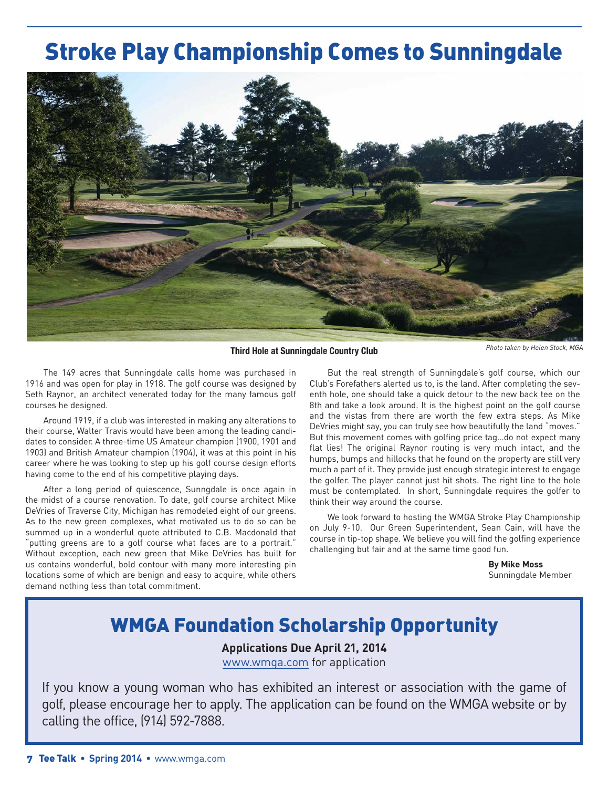# Stroke Play Championship Comes to Sunningdale



**Third Hole at Sunningdale Country Club** *Photo taken by Helen Stock, MGA*

The 149 acres that Sunningdale calls home was purchased in 1916 and was open for play in 1918. The golf course was designed by Seth Raynor, an architect venerated today for the many famous golf courses he designed.

Around 1919, if a club was interested in making any alterations to their course, Walter Travis would have been among the leading candidates to consider. A three-time US Amateur champion (1900, 1901 and 1903) and British Amateur champion (1904), it was at this point in his career where he was looking to step up his golf course design efforts having come to the end of his competitive playing days.

After a long period of quiescence, Sunngdale is once again in the midst of a course renovation. To date, golf course architect Mike DeVries of Traverse City, Michigan has remodeled eight of our greens. As to the new green complexes, what motivated us to do so can be summed up in a wonderful quote attributed to C.B. Macdonald that "putting greens are to a golf course what faces are to a portrait." Without exception, each new green that Mike DeVries has built for us contains wonderful, bold contour with many more interesting pin locations some of which are benign and easy to acquire, while others demand nothing less than total commitment.

But the real strength of Sunningdale's golf course, which our Club's Forefathers alerted us to, is the land. After completing the seventh hole, one should take a quick detour to the new back tee on the 8th and take a look around. It is the highest point on the golf course and the vistas from there are worth the few extra steps. As Mike DeVries might say, you can truly see how beautifully the land "moves." But this movement comes with golfing price tag…do not expect many flat lies! The original Raynor routing is very much intact, and the humps, bumps and hillocks that he found on the property are still very much a part of it. They provide just enough strategic interest to engage the golfer. The player cannot just hit shots. The right line to the hole must be contemplated. In short, Sunningdale requires the golfer to think their way around the course.

We look forward to hosting the WMGA Stroke Play Championship on July 9-10. Our Green Superintendent, Sean Cain, will have the course in tip-top shape. We believe you will find the golfing experience challenging but fair and at the same time good fun.

> **By Mike Moss** Sunningdale Member

## WMGA Foundation Scholarship Opportunity

**Applications Due April 21, 2014** www.wmga.com for application

If you know a young woman who has exhibited an interest or association with the game of golf, please encourage her to apply. The application can be found on the WMGA website or by calling the office, (914) 592-7888.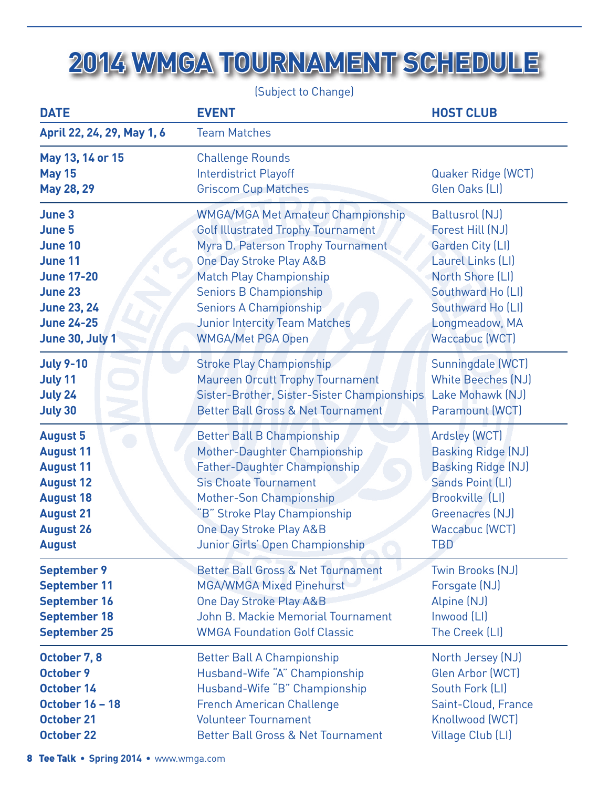# **2014 WMGA TOURNAMENT SCHEDULE**

(Subject to Change)

| <b>DATE</b>                                     | <b>EVENT</b>                                                                          | <b>HOST CLUB</b>                     |
|-------------------------------------------------|---------------------------------------------------------------------------------------|--------------------------------------|
| April 22, 24, 29, May 1, 6                      | <b>Team Matches</b>                                                                   |                                      |
| May 13, 14 or 15<br><b>May 15</b><br>May 28, 29 | <b>Challenge Rounds</b><br><b>Interdistrict Playoff</b><br><b>Griscom Cup Matches</b> | Quaker Ridge (WCT)<br>Glen Oaks (LI) |
| June 3                                          | <b>WMGA/MGA Met Amateur Championship</b>                                              | Baltusrol (NJ)                       |
| June 5                                          | <b>Golf Illustrated Trophy Tournament</b>                                             | Forest Hill (NJ)                     |
| <b>June 10</b>                                  | Myra D. Paterson Trophy Tournament                                                    | Garden City (LI)                     |
| June 11                                         | One Day Stroke Play A&B                                                               | Laurel Links (LI)                    |
| <b>June 17-20</b>                               | <b>Match Play Championship</b>                                                        | North Shore (LI)                     |
| <b>June 23</b>                                  | <b>Seniors B Championship</b>                                                         | Southward Ho (LI)                    |
| <b>June 23, 24</b>                              | <b>Seniors A Championship</b>                                                         | Southward Ho (LI)                    |
| <b>June 24-25</b>                               | <b>Junior Intercity Team Matches</b>                                                  | Longmeadow, MA                       |
| June 30, July 1                                 | <b>WMGA/Met PGA Open</b>                                                              | Waccabuc (WCT)                       |
| <b>July 9-10</b>                                | <b>Stroke Play Championship</b>                                                       | Sunningdale (WCT)                    |
| July 11                                         | <b>Maureen Orcutt Trophy Tournament</b>                                               | <b>White Beeches (NJ)</b>            |
| <b>July 24</b>                                  | Sister-Brother, Sister-Sister Championships                                           | Lake Mohawk (NJ)                     |
| July 30                                         | <b>Better Ball Gross &amp; Net Tournament</b>                                         | Paramount (WCT)                      |
| <b>August 5</b>                                 | <b>Better Ball B Championship</b>                                                     | Ardsley (WCT)                        |
| <b>August 11</b>                                | Mother-Daughter Championship                                                          | <b>Basking Ridge (NJ)</b>            |
| <b>August 11</b>                                | <b>Father-Daughter Championship</b>                                                   | <b>Basking Ridge (NJ)</b>            |
| <b>August 12</b>                                | <b>Sis Choate Tournament</b>                                                          | Sands Point (LI)                     |
| <b>August 18</b>                                | <b>Mother-Son Championship</b>                                                        | Brookville (LI)                      |
| <b>August 21</b>                                | 'B" Stroke Play Championship                                                          | Greenacres (NJ)                      |
| <b>August 26</b>                                | <b>One Day Stroke Play A&amp;B</b>                                                    | Waccabuc (WCT)                       |
| <b>August</b>                                   | Junior Girls' Open Championship                                                       | TBD                                  |
| <b>September 9</b>                              | <b>Better Ball Gross &amp; Net Tournament</b>                                         | Twin Brooks (NJ)                     |
| <b>September 11</b>                             | <b>MGA/WMGA Mixed Pinehurst</b>                                                       | Forsgate (NJ)                        |
| <b>September 16</b>                             | One Day Stroke Play A&B                                                               | Alpine (NJ)                          |
| <b>September 18</b>                             | <b>John B. Mackie Memorial Tournament</b>                                             | Inwood (LI)                          |
| <b>September 25</b>                             | <b>WMGA Foundation Golf Classic</b>                                                   | The Creek (LI)                       |
| October 7, 8                                    | <b>Better Ball A Championship</b>                                                     | North Jersey (NJ)                    |
| <b>October 9</b>                                | Husband-Wife "A" Championship                                                         | Glen Arbor (WCT)                     |
| October 14                                      | Husband-Wife "B" Championship                                                         | South Fork (LI)                      |
| <b>October 16 - 18</b>                          | <b>French American Challenge</b>                                                      | Saint-Cloud, France                  |
| <b>October 21</b>                               | <b>Volunteer Tournament</b>                                                           | Knollwood (WCT)                      |
| <b>October 22</b>                               | <b>Better Ball Gross &amp; Net Tournament</b>                                         | Village Club (LI)                    |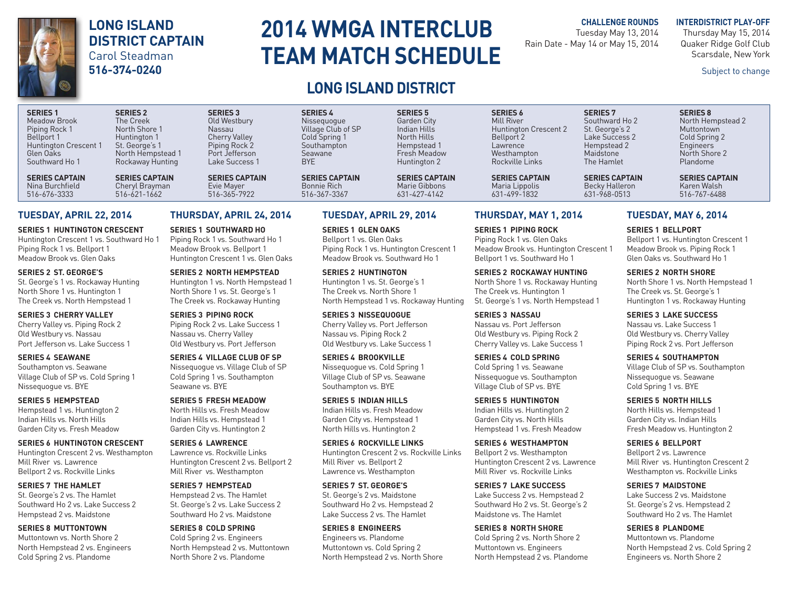#### **LONG ISLAND DISTRICT CAPTAIN** Carol Steadman **516-374-0240**

# **2014 WMGA INTERCLUB TEAM MATCH SCHEDULE**

### **LONG ISLAND DISTRICT**

#### **CHALLENGE ROUNDS**

Tuesday May 13, 2014 Rain Date - May 14 or May 15, 2014 **INTERDISTRICT PLAY-OFF** Thursday May 15, 2014 Quaker Ridge Golf Club Scarsdale, New York

Subject to change

#### **SERIES 1 SERIES 2 SERIES 3 SERIES 4 SERIES 5 SERIES 6 SERIES 7 SERIES 8** Meadow Brook The Creek Old Westbury Nissequogue Garden City Mill River Southward Ho 2 North Hempstead 2 Piping Rock 1 North Shore 1 Nassau Nassau Village Club of SP Indian Hills Huntington Crescent 2 St. George's 2 Muttontown<br>1 Bellport 1 Huntington 1 Cherry Valley Cold Spring 1 North Hills Bellport 2 Lake Success 2 Cold Spr Bellport 1 Muntington 1 Cherry Valley Cold Spring 1 North Hills Bellport 2 Lake Success 2 Cold Spring 2 Huntington Crescent 1 St. George's 1 Piping Rock 2 Southampton Hempstead 1 Lawrence Hempstead 2 Engineers Glen Oaks North Hempstead 1 Port Jefferson Seawane Fresh Meadow Westhampton Maidstone North Shore 2

**SERIES CAPTAIN** 

516-676-3333 516-621-1662 516-365-7922 516-367-3367 631-427-4142 631-499-1832 631-968-0513 516-767-6488

#### Southward Ho 1 Rockaway Hunting Lake Success 1 BYE Huntington 2 Rockville Links The Hamlet Plandome **SERIES CAPTAIN SERIES CAPTAIN SERIES CAPTAIN SERIES CAPTAIN SERIES CAPTAIN SERIES CAPTAIN SERIES CAPTAIN SERIES CAPTAIN** Nina Burchfield Cheryl Brayman Evie Mayer Bonnie Rich Marie Gibbons Maria Lippolis Becky Halleron Karen Walsh

#### **TUESDAY, APRIL 22, 2014**

**SERIES 1 HUNTINGTON CRESCENT**  Huntington Crescent 1 vs. Southward Ho 1 Piping Rock 1 vs. Bellport 1 Meadow Brook vs. Glen Oaks

**SERIES 2 ST. GEORGE'S**  St. George's 1 vs. Rockaway Hunting North Shore 1 vs. Huntington 1 The Creek vs. North Hempstead 1

**SERIES 3 CHERRY VALLEY** Cherry Valley vs. Piping Rock 2 Old Westbury vs. Nassau Port Jefferson vs. Lake Success 1

**SERIES 4 SEAWANE** Southampton vs. Seawane Village Club of SP vs. Cold Spring 1 Nissequogue vs. BYE

**SERIES 5 HEMPSTEAD**  Hempstead 1 vs. Huntington 2 Indian Hills vs. North Hills Garden City vs. Fresh Meadow

**SERIES 6 HUNTINGTON CRESCENT**  Huntington Crescent 2 vs. Westhampton Mill River vs. Lawrence Bellport 2 vs. Rockville Links

**SERIES 7 THE HAMLET** St. George's 2 vs. The Hamlet Southward Ho 2 vs. Lake Success 2 Hempstead 2 vs. Maidstone

**SERIES 8 MUTTONTOWN** Muttontown vs. North Shore 2 North Hempstead 2 vs. Engineers Cold Spring 2 vs. Plandome

#### **THURSDAY, APRIL 24, 2014**

**SERIES 1 SOUTHWARD HO**  Piping Rock 1 vs. Southward Ho 1 Meadow Brook vs. Bellport 1 Huntington Crescent 1 vs. Glen Oaks

**SERIES 2 NORTH HEMPSTEAD**  Huntington 1 vs. North Hempstead 1 North Shore 1 vs. St. George's 1 The Creek vs. Rockaway Hunting

**SERIES 3 PIPING ROCK**  Piping Rock 2 vs. Lake Success 1 Nassau vs. Cherry Valley Old Westbury vs. Port Jefferson

**SERIES 4 VILLAGE CLUB OF SP** Nissequogue vs. Village Club of SP Cold Spring 1 vs. Southampton Seawane vs. BYE

**SERIES 5 FRESH MEADOW** North Hills vs. Fresh Meadow Indian Hills vs. Hempstead 1 Garden City vs. Huntington 2

**SERIES 6 LAWRENCE** Lawrence vs. Rockville Links Huntington Crescent 2 vs. Bellport 2 Mill River vs. Westhampton

**SERIES 7 HEMPSTEAD**  Hempstead 2 vs. The Hamlet St. George's 2 vs. Lake Success 2 Southward Ho 2 vs. Maidstone

**SERIES 8 COLD SPRING**  Cold Spring 2 vs. Engineers North Hempstead 2 vs. Muttontown North Shore 2 vs. Plandome

#### **TUESDAY, APRIL 29, 2014**

**SERIES 1 GLEN OAKS** Bellport 1 vs. Glen Oaks Piping Rock 1 vs. Huntington Crescent 1 Meadow Brook vs. Southward Ho 1

**SERIES 2 HUNTINGTON**  Huntington 1 vs. St. George's 1 The Creek vs. North Shore 1 North Hempstead 1 vs. Rockaway Hunting

**SERIES 3 NISSEQUOGUE** Cherry Valley vs. Port Jefferson Nassau vs. Piping Rock 2 Old Westbury vs. Lake Success 1

**SERIES 4 BROOKVILLE** Nissequogue vs. Cold Spring 1 Village Club of SP vs. Seawane Southampton vs. BYE

**SERIES 5 INDIAN HILLS** Indian Hills vs. Fresh Meadow Garden City vs. Hempstead 1 North Hills vs. Huntington 2

**SERIES 6 ROCKVILLE LINKS** Huntington Crescent 2 vs. Rockville Links Mill River vs. Bellport 2 Lawrence vs. Westhampton

**SERIES 7 ST. GEORGE'S**  St. George's 2 vs. Maidstone Southward Ho 2 vs. Hempstead 2 Lake Success 2 vs. The Hamlet

**SERIES 8 ENGINEERS** Engineers vs. Plandome Muttontown vs. Cold Spring 2 North Hempstead 2 vs. North Shore

#### **THURSDAY, MAY 1, 2014**

**SERIES 1 PIPING ROCK**  Piping Rock 1 vs. Glen Oaks Meadow Brook vs. Huntington Crescent 1 Bellport 1 vs. Southward Ho 1

**SERIES 2 ROCKAWAY HUNTING** North Shore 1 vs. Rockaway Hunting The Creek vs. Huntington 1 St. George's 1 vs. North Hempstead 1

**SERIES 3 NASSAU** Nassau vs. Port Jefferson Old Westbury vs. Piping Rock 2 Cherry Valley vs. Lake Success 1

**SERIES 4 COLD SPRING**  Cold Spring 1 vs. Seawane Nissequogue vs. Southampton Village Club of SP vs. BYE

**SERIES 5 HUNTINGTON**  Indian Hills vs. Huntington 2 Garden City vs. North Hills Hempstead 1 vs. Fresh Meadow

**SERIES 6 WESTHAMPTON** Bellport 2 vs. Westhampton Huntington Crescent 2 vs. Lawrence Mill River vs. Rockville Links

**SERIES 7 LAKE SUCCESS**  Lake Success 2 vs. Hempstead 2 Southward Ho 2 vs. St. George's 2 Maidstone vs. The Hamlet

**SERIES 8 NORTH SHORE**  Cold Spring 2 vs. North Shore 2 Muttontown vs. Engineers North Hempstead 2 vs. Plandome

#### **TUESDAY, MAY 6, 2014**

**SERIES 1 BELLPORT**  Bellport 1 vs. Huntington Crescent 1 Meadow Brook vs. Piping Rock 1 Glen Oaks vs. Southward Ho 1

**SERIES 2 NORTH SHORE**  North Shore 1 vs. North Hempstead 1 The Creek vs. St. George's 1 Huntington 1 vs. Rockaway Hunting

**SERIES 3 LAKE SUCCESS** Nassau vs. Lake Success 1 Old Westbury vs. Cherry Valley Piping Rock 2 vs. Port Jefferson

**SERIES 4 SOUTHAMPTON** Village Club of SP vs. Southampton Nissequogue vs. Seawane Cold Spring 1 vs. BYE

**SERIES 5 NORTH HILLS** North Hills vs. Hempstead 1 Garden City vs. Indian Hills Fresh Meadow vs. Huntington 2

**SERIES 6 BELLPORT**  Bellport 2 vs. Lawrence Mill River vs. Huntington Crescent 2 Westhampton vs. Rockville Links

**SERIES 7 MAIDSTONE** Lake Success 2 vs. Maidstone St. George's 2 vs. Hempstead 2 Southward Ho 2 vs. The Hamlet

**SERIES 8 PLANDOME** Muttontown vs. Plandome North Hempstead 2 vs. Cold Spring 2 Engineers vs. North Shore 2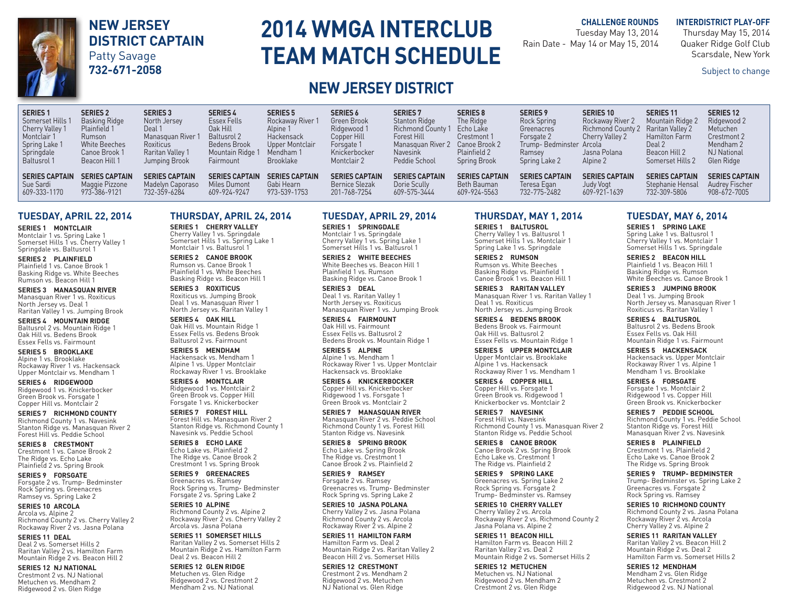### **NEW JERSEY DISTRICT CAPTAIN** Patty Savage

**732-671-2058**

# **2014 WMGA INTERCLUB TEAM MATCH SCHEDULE**

#### **CHALLENGE ROUNDS**

Tuesday May 13, 2014 Rain Date - May 14 or May 15, 2014 **INTERDISTRICT PLAY-OFF** Thursday May 15, 2014 Quaker Ridge Golf Club Scarsdale, New York

Subject to change

### **NEW JERSEY DISTRICT**

| <b>SERIES1</b><br>Somerset Hills 1<br>Cherry Valley 1<br>Montclair 1<br>Spring Lake 1<br>Springdale<br><b>Baltusrol 1</b> | <b>SERIES 2</b><br><b>Basking Ridge</b><br>Plainfield 1<br>Rumson<br>White Beeches<br>Canoe Brook 1<br>Beacon Hill 1 | <b>SERIES 3</b><br>North Jersey<br>Deal 1<br>Manasquan River<br><b>Roxiticus</b><br>Raritan Valley 1<br>Jumping Brook | <b>SERIES 4</b><br><b>Essex Fells</b><br>Oak Hill<br><b>Baltusrol 2</b><br>Bedens Brook<br>Mountain Ridge 1<br>Fairmount | <b>SERIES 5</b><br>Rockaway River 1<br>Alpine 1<br>Hackensack<br>Upper Montclair<br>Mendham 1<br>Brooklake | <b>SERIES 6</b><br>Green Brook<br>Ridgewood 1<br>Copper Hill<br>Forsgate 1<br>Knickerbocker<br>Montclair 2 | <b>SERIES 7</b><br><b>Stanton Ridge</b><br><b>Richmond County 1</b><br>Forest Hill<br>Manasquan River 2<br><b>Navesink</b><br>Peddie School | <b>SERIES 8</b><br>The Ridge<br>Echo Lake<br>Crestmont 1<br>Canoe Brook 2<br>Plainfield 2<br><b>Spring Brook</b> | <b>SERIES 9</b><br>Rock Spring<br>Greenacres<br>Forsgate 2<br>Trump-Bedminster Arcola<br>Ramsev<br>Spring Lake 2 | <b>SERIES 10</b><br>Rockaway River 2<br><b>Richmond County 2</b><br>Cherry Valley 2<br>Jasna Polana<br>Alpine 2 | <b>SERIES 11</b><br>Mountain Ridge 2<br>Raritan Valley 2<br><b>Hamilton Farm</b><br>Deal 2<br>Beacon Hill 2<br>Somerset Hills 2 | <b>SERIES 12</b><br>Ridgewood 2<br>Metuchen<br>Crestmont 2<br>Mendham 2<br><b>NJ National</b><br>Glen Ridge |
|---------------------------------------------------------------------------------------------------------------------------|----------------------------------------------------------------------------------------------------------------------|-----------------------------------------------------------------------------------------------------------------------|--------------------------------------------------------------------------------------------------------------------------|------------------------------------------------------------------------------------------------------------|------------------------------------------------------------------------------------------------------------|---------------------------------------------------------------------------------------------------------------------------------------------|------------------------------------------------------------------------------------------------------------------|------------------------------------------------------------------------------------------------------------------|-----------------------------------------------------------------------------------------------------------------|---------------------------------------------------------------------------------------------------------------------------------|-------------------------------------------------------------------------------------------------------------|
| <b>SERIES CAPTAIN</b>                                                                                                     | <b>SERIES CAPTAIN</b>                                                                                                | <b>SERIES CAPTAIN</b>                                                                                                 | <b>SERIES CAPTAIN</b>                                                                                                    | <b>SERIES CAPTAIN</b>                                                                                      | <b>SERIES CAPTAIN</b>                                                                                      | <b>SERIES CAPTAIN</b>                                                                                                                       | <b>SERIES CAPTAIN</b>                                                                                            | <b>SERIES CAPTAIN</b>                                                                                            | <b>SERIES CAPTAIN</b>                                                                                           | <b>SERIES CAPTAIN</b>                                                                                                           | <b>SERIES CAPTAIN</b>                                                                                       |
| Sue Sardi                                                                                                                 | Maggie Pizzone                                                                                                       | Madelyn Caporaso                                                                                                      | Miles Dumont                                                                                                             | Gabi Hearn                                                                                                 | <b>Bernice Slezak</b>                                                                                      | Dorie Scully                                                                                                                                | Beth Bauman                                                                                                      | Teresa Egan                                                                                                      | Judy Vogt                                                                                                       | Stephanie Hensal                                                                                                                | Audrey Fischer                                                                                              |
| $ 609-333-1170$                                                                                                           | 973-386-9121                                                                                                         | 732-359-6284                                                                                                          | 609-924-9247                                                                                                             | 973-539-1753                                                                                               | 201-768-7254                                                                                               | 609-575-3444                                                                                                                                | 609-924-5563                                                                                                     | 732-775-2482                                                                                                     | 609-921-1639                                                                                                    | 732-309-5806                                                                                                                    | 908-672-7005                                                                                                |

#### **TUESDAY, APRIL 22, 2014**

**SERIES 1 MONTCLAIR**  Montclair 1 vs. Spring Lake 1 Somerset Hills 1 vs. Cherry Valley 1 Springdale vs. Baltusrol 1

**SERIES 2 PLAINFIELD** Plainfield 1 vs. Canoe Brook 1 Basking Ridge vs. White Beeches Rumson vs. Beacon Hill 1

**SERIES 3 MANASQUAN RIVER** Manasquan River 1 vs. Roxiticus North Jersey vs. Deal 1 Raritan Valley 1 vs. Jumping Brook

**SERIES 4 MOUNTAIN RIDGE** Baltusrol 2 vs. Mountain Ridge 1 Oak Hill vs. Bedens Brook Essex Fells vs. Fairmount

**SERIES 5 BROOKLAKE** Alpine 1 vs. Brooklake Rockaway River 1 vs. Hackensack Upper Montclair vs. Mendham 1

**SERIES 6 RIDGEWOOD** Ridgewood 1 vs. Knickerbocker Green Brook vs. Forsgate 1 Copper Hill vs. Montclair 2

**SERIES 7 RICHMOND COUNTY** Richmond County 1 vs. Navesink Stanton Ridge vs. Manasquan River 2 Forest Hill vs. Peddie School

**SERIES 8 CRESTMONT** Crestmont 1 vs. Canoe Brook 2 The Ridge vs. Echo Lake Plainfield 2 vs. Spring Brook

**SERIES 9 FORSGATE** Forsgate 2 vs. Trump- Bedminster Rock Spring vs. Greenacres Ramsey vs. Spring Lake 2

**SERIES 10 ARCOLA** Arcola vs. Alpine 2 Richmond County 2 vs. Cherry Valley 2 Rockaway River 2 vs. Jasna Polana

**SERIES 11 DEAL** Deal 2 vs. Somerset Hills 2 Raritan Valley 2 vs. Hamilton Farm Mountain Ridge 2 vs. Beacon Hill 2

**SERIES 12 NJ NATIONAL** Crestmont 2 vs. NJ National Metuchen vs. Mendham 2 Ridgewood 2 vs. Glen Ridge

#### **THURSDAY, APRIL 24, 2014**

**SERIES 1 CHERRY VALLEY**  Cherry Valley 1 vs. Springdale Somerset Hills 1 vs. Spring Lake 1 Montclair 1 vs. Baltusrol 1

**SERIES 2 CANOE BROOK** Rumson vs. Canoe Brook 1 Plainfield 1 vs. White Beeches Basking Ridge vs. Beacon Hill 1

**SERIES 3 ROXITICUS** Roxiticus vs. Jumping Brook Deal 1 vs. Manasquan River 1 North Jersey vs. Raritan Valley 1

**SERIES 4 OAK HILL** Oak Hill vs. Mountain Ridge 1 Essex Fells vs. Bedens Brook Baltusrol 2 vs. Fairmount

**SERIES 5 MENDHAM** Hackensack vs. Mendham 1 Alpine 1 vs. Upper Montclair Rockaway River 1 vs. Brooklake

**SERIES 6 MONTCLAIR** Ridgewood 1 vs. Montclair 2 Green Brook vs. Copper Hill Forsgate 1 vs. Knickerbocker

**SERIES 7 FOREST HILL** Forest Hill vs. Manasquan River 2 Stanton Ridge vs. Richmond County 1 Navesink vs. Peddie School

**SERIES 8 ECHO LAKE** Echo Lake vs. Plainfield 2 The Ridge vs. Canoe Brook 2 Crestmont 1 vs. Spring Brook

**SERIES 9 GREENACRES** Greenacres vs. Ramsey Rock Spring vs. Trump- Bedminster Forsgate 2 vs. Spring Lake 2

**SERIES 10 ALPINE** Richmond County 2 vs. Alpine 2 Rockaway River 2 vs. Cherry Valley 2 Arcola vs. Jasna Polana

**SERIES 11 SOMERSET HILLS** Raritan Valley 2 vs. Somerset Hills 2 Mountain Ridge 2 vs. Hamilton Farm Deal 2 vs. Beacon Hill 2

**SERIES 12 GLEN RIDGE** Metuchen vs. Glen Ridge Ridgewood 2 vs. Crestmont 2 Mendham 2 vs. NJ National

#### **TUESDAY, APRIL 29, 2014**

**SERIES 1 SPRINGDALE** Montclair 1 vs. Springdale Cherry Valley 1 vs. Spring Lake 1 Somerset Hills 1 vs. Baltusrol 1

**SERIES 2 WHITE BEECHES** White Beeches vs. Beacon Hill 1 Plainfield 1 vs. Rumson Basking Ridge vs. Canoe Brook 1

**SERIES 3 DEAL** Deal 1 vs. Raritan Valley 1 North Jersey vs. Roxiticus Manasquan River 1 vs. Jumping Brook

**SERIES 4 FAIRMOUNT** Oak Hill vs. Fairmount Essex Fells vs. Baltusrol 2 Bedens Brook vs. Mountain Ridge 1

**SERIES 5 ALPINE** Alpine 1 vs. Mendham 1 Rockaway River 1 vs. Upper Montclair Hackensack vs. Brooklake

**SERIES 6 KNICKERBOCKER** Copper Hill vs. Knickerbocker Ridgewood 1 vs. Forsgate 1 Green Brook vs. Montclair 2

**SERIES 7 MANASQUAN RIVER** Manasquan River 2 vs. Peddie School Richmond County 1 vs. Forest Hill Stanton Ridge vs. Navesink

**SERIES 8 SPRING BROOK** Echo Lake vs. Spring Brook The Ridge vs. Crestmont 1 Canoe Brook 2 vs. Plainfield 2

**SERIES 9 RAMSEY** Forsgate 2 vs. Ramsey Greenacres vs. Trump- Bedminster Rock Spring vs. Spring Lake 2

**SERIES 10 JASNA POLANA** Cherry Valley 2 vs. Jasna Polana Richmond County 2 vs. Arcola Rockaway River 2 vs. Alpine 2

**SERIES 11 HAMILTON FARM** Hamilton Farm vs. Deal 2 Mountain Ridge 2 vs. Raritan Valley 2 Beacon Hill 2 vs. Somerset Hills

**SERIES 12 CRESTMONT** Crestmont 2 vs. Mendham 2 Ridgewood 2 vs. Metuchen NJ National vs. Glen Ridge

#### **THURSDAY, MAY 1, 2014**

**SERIES 1 BALTUSROL**  Cherry Valley 1 vs. Baltusrol 1 Somerset Hills 1 vs. Montclair 1 Spring Lake 1 vs. Springdale

**SERIES 2 RUMSON** Rumson vs. White Beeches Basking Ridge vs. Plainfield 1 Canoe Brook 1 vs. Beacon Hill 1

**SERIES 3 RARITAN VALLEY** Manasquan River 1 vs. Raritan Valley 1 Deal 1 vs. Roxiticus North Jersey vs. Jumping Brook

**SERIES 4 BEDENS BROOK** Bedens Brook vs. Fairmount Oak Hill vs. Baltusrol 2 Essex Fells vs. Mountain Ridge 1

**SERIES 5 UPPER MONTCLAIR** Upper Montclair vs. Brooklake Alpine 1 vs. Hackensack Rockaway River 1 vs. Mendham 1

**SERIES 6 COPPER HILL** Copper Hill vs. Forsgate 1 Green Brook vs. Ridgewood 1 Knickerbocker vs. Montclair 2

**SERIES 7 NAVESINK** Forest Hill vs. Navesink Richmond County 1 vs. Manasquan River 2 Stanton Ridge vs. Peddie School

**SERIES 8 CANOE BROOK** Canoe Brook 2 vs. Spring Brook Echo Lake vs. Crestmont 1 The Ridge vs. Plainfield 2

**SERIES 9 SPRING LAKE** Greenacres vs. Spring Lake 2 Rock Spring vs. Forsgate 2 Trump- Bedminster vs. Ramsey

**SERIES 10 CHERRY VALLEY**  Cherry Valley 2 vs. Arcola Rockaway River 2 vs. Richmond County 2 Jasna Polana vs. Alpine 2

**SERIES 11 BEACON HILL**  Hamilton Farm vs. Beacon Hill 2 Raritan Valley 2 vs. Deal 2 Mountain Ridge 2 vs. Somerset Hills 2

**SERIES 12 METUCHEN** Metuchen vs. NJ National Ridgewood 2 vs. Mendham 2 Crestmont 2 vs. Glen Ridge

#### **TUESDAY, MAY 6, 2014**

**SERIES 1 SPRING LAKE**  Spring Lake 1 vs. Baltusrol 1 Cherry Valley 1 vs. Montclair 1 Somerset Hills 1 vs. Springdale

**SERIES 2 BEACON HILL**  Plainfield 1 vs. Beacon Hill 1 Basking Ridge vs. Rumson White Beeches vs. Canoe Brook 1

**SERIES 3 JUMPING BROOK** Deal 1 vs. Jumping Brook North Jersey vs. Manasquan River 1 Roxiticus vs. Raritan Valley 1

**SERIES 4 BALTUSROL**  Baltusrol 2 vs. Bedens Brook Essex Fells vs. Oak Hill Mountain Ridge 1 vs. Fairmount

**SERIES 5 HACKENSACK** Hackensack vs. Upper Montclair Rockaway River 1 vs. Alpine 1 Mendham 1 vs. Brooklake

**SERIES 6 FORSGATE**  Forsgate 1 vs. Montclair 2 Ridgewood 1 vs. Copper Hill Green Brook vs. Knickerbocker

**SERIES 7 PEDDIE SCHOOL** Richmond County 1 vs. Peddie School Stanton Ridge vs. Forest Hill Manasquan River 2 vs. Navesink

**SERIES 8 PLAINFIELD**  Crestmont 1 vs. Plainfield 2 Echo Lake vs. Canoe Brook 2 The Ridge vs. Spring Brook

**SERIES 9 TRUMP- BEDMINSTER** Trump- Bedminster vs. Spring Lake 2 Greenacres vs. Forsgate 2 Rock Spring vs. Ramsey

**SERIES 10 RICHMOND COUNTY**  Richmond County 2 vs. Jasna Polana Rockaway River 2 vs. Arcola Cherry Valley 2 vs. Alpine 2

**SERIES 11 RARITAN VALLEY**  Raritan Valley 2 vs. Beacon Hill 2 Mountain Ridge 2 vs. Deal 2 Hamilton Farm vs. Somerset Hills 2

**SERIES 12 MENDHAM**  Mendham 2 vs. Glen Ridge Metuchen vs. Crestmont 2 Ridgewood 2 vs. NJ National